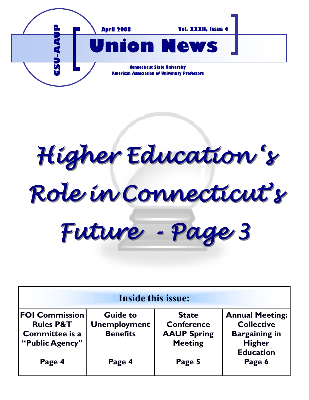

*Higher Education 's Role in Connecticut's Future - Page 3*

| <b>Inside this issue:</b>                                                          |                                                           |                                                                           |                                                                                                          |
|------------------------------------------------------------------------------------|-----------------------------------------------------------|---------------------------------------------------------------------------|----------------------------------------------------------------------------------------------------------|
| <b>FOI Commission</b><br><b>Rules P&amp;T</b><br>Committee is a<br>"Public Agency" | <b>Guide to</b><br><b>Unemployment</b><br><b>Benefits</b> | <b>State</b><br><b>Conference</b><br><b>AAUP Spring</b><br><b>Meeting</b> | <b>Annual Meeting:</b><br><b>Collective</b><br><b>Bargaining in</b><br><b>Higher</b><br><b>Education</b> |
| Page 4                                                                             | Page 4                                                    | Page 5                                                                    | Page 6                                                                                                   |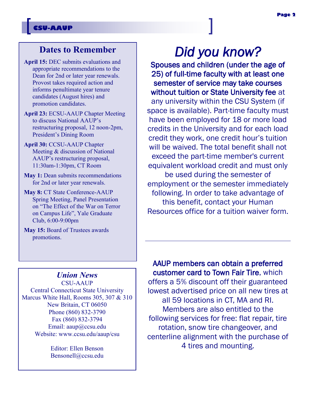### **Dates to Remember**

- **April 15:** DEC submits evaluations and appropriate recommendations to the Dean for 2nd or later year renewals. Provost takes required action and informs penultimate year tenure candidates (August hires) and promotion candidates.
- **April 23:** ECSU-AAUP Chapter Meeting to discuss National AAUP's restructuring proposal, 12 noon-2pm, President's Dining Room
- **April 30:** CCSU-AAUP Chapter Meeting & discussion of National AAUP's restructuring proposal, 11:30am-1:30pm, CT Room
- **May 1:** Dean submits recommendations for 2nd or later year renewals.
- **May 8:** CT State Conference-AAUP Spring Meeting, Panel Presentation on "The Effect of the War on Terror on Campus Life", Yale Graduate Club, 6:00-9:00pm
- **May 15:** Board of Trustees awards promotions.

# *Did you know?*

Spouses and children (under the age of 25) of full-time faculty with at least one semester of service may take courses without tuition or State University fee at any university within the CSU System (if space is available). Part-time faculty must have been employed for 18 or more load credits in the University and for each load credit they work, one credit hour's tuition will be waived. The total benefit shall not exceed the part-time member's current equivalent workload credit and must only be used during the semester of employment or the semester immediately following. In order to take advantage of this benefit, contact your Human Resources office for a tuition waiver form.

### *Union News*

CSU-AAUP Central Connecticut State University Marcus White Hall, Rooms 305, 307 & 310 New Britain, CT 06050 Phone (860) 832-3790 Fax (860) 832-3794 Email: aaup@ccsu.edu Website: www.ccsu.edu/aaup/csu

> Editor: Ellen Benson Bensonell@ccsu.edu

AAUP members can obtain a preferred customer card to Town Fair Tire, which offers a 5% discount off their guaranteed lowest advertised price on all new tires at all 59 locations in CT, MA and RI. Members are also entitled to the following services for free: flat repair, tire rotation, snow tire changeover, and centerline alignment with the purchase of 4 tires and mounting.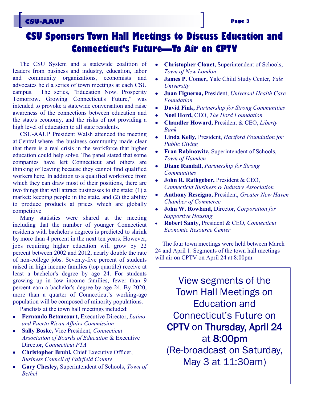## **CSU-AAUP Page 3**

# **CSU Sponsors Town Hall Meetings to Discuss Education and Connecticut's Future—To Air on CPTV**

The CSU System and a statewide coalition of leaders from business and industry, education, labor and community organizations, economists and advocates held a series of town meetings at each CSU campus. The series, "Education Now. Prosperity Tomorrow. Growing Connecticut's Future," was intended to provoke a statewide conversation and raise awareness of the connections between education and the state's economy, and the risks of not providing a high level of education to all state residents.

CSU-AAUP President Walsh attended the meeting at Central where the business community made clear that there is a real crisis in the workforce that higher education could help solve. The panel stated that some companies have left Connecticut and others are thinking of leaving because they cannot find qualified workers here. In addition to a qualified workforce from which they can draw most of their positions, there are two things that will attract businesses to the state: (1) a market: keeping people in the state, and (2) the ability to produce products at prices which are globally competitive

Many statistics were shared at the meeting including that the number of younger Connecticut residents with bachelor's degrees is predicted to shrink by more than 4 percent in the next ten years. However, jobs requiring higher education will grow by 22 percent between 2002 and 2012, nearly double the rate of non-college jobs. Seventy-five percent of students raised in high income families (top quartile) receive at least a bachelor's degree by age 24. For students growing up in low income families, fewer than 9 percent earn a bachelor's degree by age 24. By 2020, more than a quarter of Connecticut's working-age population will be composed of minority populations.

Panelists at the town hall meetings included:

- **Fernando Betancourt,** Executive Director, *Latino and Puerto Rican Affairs Commission*
- **Sally Boske,** Vice President, *Connecticut Association of Boards of Education* & Executive Director, *Connecticut PTA*
- **Christopher Bruhl, Chief Executive Officer,** *Business Council of Fairfield County*
- **Gary Chesley,** Superintendent of Schools, *Town of Bethel*
- **Christopher Clouet,** Superintendent of Schools, *Town of New London*
- **James P. Comer,** Yale Child Study Center, *Yale University*
- **Juan Figueroa,** President, *Universal Health Care Foundation*
- **David Fink,** *Partnership for Strong Communities*
- **Noel Hord,** CEO, *The Hord Foundation*
- **Chandler Howard,** President & CEO, *Liberty Bank*
- **Linda Kelly,** President, *Hartford Foundation for Public Giving*
- **Fran Rabinowitz,** Superintendent of Schools, *Town of Hamden*
- **Diane Randall,** *Partnership for Strong Communities*
- **John R. Rathgeber,** President & CEO, *Connecticut Business & Industry Association*
- **Anthony Rescigno,** President, *Greater New Haven Chamber of Commerce*
- **John W. Rowland,** Director, *Corporation for Supportive Housing*
- **Robert Santy,** President & CEO, *Connecticut Economic Resource Center*

The four town meetings were held between March 24 and April 1. Segments of the town hall meetings will air on CPTV on April 24 at 8:00pm.

View segments of the Town Hall Meetings on Education and Connecticut's Future on CPTV on Thursday, April 24 at 8:00pm (Re-broadcast on Saturday, May 3 at 11:30am)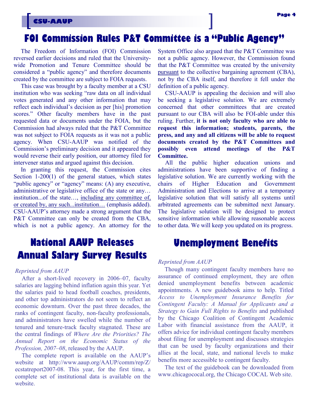# **FOI Commission Rules P&T Committee is a "Public Agency"**

The Freedom of Information (FOI) Commission reversed earlier decisions and ruled that the Universitywide Promotion and Tenure Committee should be considered a "public agency" and therefore documents created by the committee are subject to FOIA requests.

This case was brought by a faculty member at a CSU institution who was seeking "raw data on all individual votes generated and any other information that may reflect each individual's decision as per [his] promotion scores." Other faculty members have in the past requested data or documents under the FOIA, but the Commission had always ruled that the P&T Committee was not subject to FOIA requests as it was not a public agency. When CSU-AAUP was notified of the Commission's preliminary decision and it appeared they would reverse their early position, our attorney filed for intervener status and argued against this decision.

In granting this request, the Commission cites Section 1-200(1) of the general statues, which states "public agency" or "agency" means: (A) any executive, administrative or legislative office of the state or any… institution...of the state…, including any committee of, or created by, any such...institution… (emphasis added). CSU-AAUP's attorney made a strong argument that the P&T Committee can only be created from the CBA, which is not a public agency. An attorney for the

# **National AAUP Releases Annual Salary Survey Results**

#### *Reprinted from AAUP*

After a short-lived recovery in 2006–07, faculty salaries are lagging behind inflation again this year. Yet the salaries paid to head football coaches, presidents, and other top administrators do not seem to reflect an economic downturn. Over the past three decades, the ranks of contingent faculty, non-faculty professionals, and administrators have swelled while the number of tenured and tenure-track faculty stagnated. These are the central findings of *Where Are the Priorities? The Annual Report on the Economic Status of the Profession, 2007–08*, released by the AAUP.

The complete report is available on the AAUP's website at http://www.aaup.org/AAUP/comm/rep/Z/ ecstatreport2007-08. This year, for the first time, a complete set of institutional data is available on the website.

System Office also argued that the P&T Committee was not a public agency. However, the Commission found that the P&T Committee was created by the university pursuant to the collective bargaining agreement (CBA), not by the CBA itself, and therefore it fell under the definition of a public agency.

CSU-AAUP is appealing the decision and will also be seeking a legislative solution. We are extremely concerned that other committees that are created pursuant to our CBA will also be FOI-able under this ruling. Further, **it is not only faculty who are able to request this information; students, parents, the press, and any and all citizens will be able to request documents created by the P&T Committees and possibly even attend meetings of the P&T Committee.** 

All the public higher education unions and administrations have been supportive of finding a legislative solution. We are currently working with the chairs of Higher Education and Government Administration and Elections to arrive at a temporary legislative solution that will satisfy all systems until arbitrated agreements can be submitted next January. The legislative solution will be designed to protect sensitive information while allowing reasonable access to other data. We will keep you updated on its progress.

### **Unemployment Benefits**

#### *Reprinted from AAUP*

Though many contingent faculty members have no assurance of continued employment, they are often denied unemployment benefits between academic appointments. A new guidebook aims to help. Titled *Access to Unemployment Insurance Benefits for Contingent Faculty: A Manual for Applicants and a Strategy to Gain Full Rights to Benefits* and published by the Chicago Coalition of Contingent Academic Labor with financial assistance from the AAUP, it offers advice for individual contingent faculty members about filing for unemployment and discusses strategies that can be used by faculty organizations and their allies at the local, state, and national levels to make benefits more accessible to contingent faculty.

The text of the guidebook can be downloaded from www.chicagococal.org, the Chicago COCAL Web site.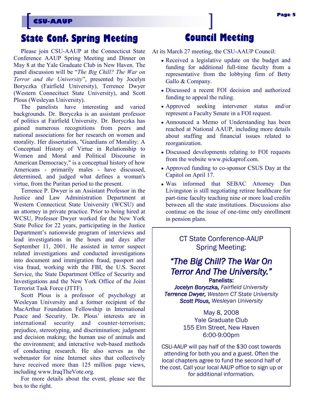# **State Conf. Spring Meeting**

Please join CSU-AAUP at the Connecticut State Conference AAUP Spring Meeting and Dinner on May 8 at the Yale Graduate Club in New Haven. The panel discussion will be "*The Big Chill? The War on Terror and the University*", presented by Jocelyn Boryczka (Fairfield University), Terrence Dwyer (Western Connecituct State University), and Scott Plous (Wesleyan University).

The panelists have interesting and varied backgrounds. Dr. Boryczka is an assistant professor of politics at Fairfield University. Dr. Boryczka has gained numerous recognitions from peers and national associations for her research on women and morality. Her dissertation, "Guardians of Morality: A Conceptual History of Virtue in Relationship to Women and Moral and Political Discourse in American Democracy," is a conceptual history of how Americans - primarily males - have discussed, determined, and judged what defines a woman's virtue, from the Puritan period to the present.

Terrence P. Dwyer is an Assistant Professor in the Justice and Law Administration Department at Western Connecticut State University (WCSU) and an attorney in private practice. Prior to being hired at WCSU, Professor Dwyer worked for the New York State Police for 22 years, participating in the Justice Department's nationwide program of interviews and lead investigations in the hours and days after September 11, 2001. He assisted in terror suspect related investigations and conducted investigations into document and immigration fraud, passport and visa fraud, working with the FBI, the U.S. Secret Service, the State Department Office of Security and Investigations and the New York Office of the Joint Terrorist Task Force (JTTF).

Scott Plous is a professor of psychology at Wesleyan University and a former recipient of the MacArthur Foundation Fellowship in International Peace and Security. Dr. Plous' interests are in international security and counter-terrorism; prejudice, stereotyping, and discrimination; judgment and decision making; the human use of animals and the environment; and interactive web-based methods of conducting research. He also serves as the webmaster for nine Internet sites that collectively have received more than 125 million page views, including www.IraqTheVote.org.

For more details about the event, please see the box to the right.

# **Council Meeting**

At its March 27 meeting, the CSU-AAUP Council:

- Received a legislative update on the budget and funding for additional full-time faculty from a representative from the lobbying firm of Betty Gallo & Company.
- Discussed a recent FOI decision and authorized funding to appeal the ruling.
- Approved seeking intervener status and/or represent a Faculty Senate in a FOI request.
- Announced a Memo of Understanding has been reached at National AAUP, including more details about staffing and financial issues related to reorganization.
- Discussed developments relating to FOI requests from the website www.pickaprof.com.
- Approved funding to co-sponsor CSUS Day at the Capitol on April 17.
- Was informed that SEBAC Attorney Dan Livingston is still negotiating retiree healthcare for part-time faculty teaching nine or more load credits between all the state institutions. Discussions also continue on the issue of one-time only enrollment in pension plans.

CT State Conference-AAUP Spring Meeting:

### *"The Big Chill? The War On Terror And The University."*  Panelists:

*Jocelyn Boryczka, Fairfield University*

*Terrence Dwyer, Western CT State University Scott Plous, Wesleyan University* 

> May 8, 2008 Yale Graduate Club 155 Elm Street, New Haven 6:00-9:00pm

CSU-AAUP will pay half of the \$30 cost towards attending for both you and a guest. Often the local chapters agree to fund the second half of the cost. Call your local AAUP office to sign up or for additional information.